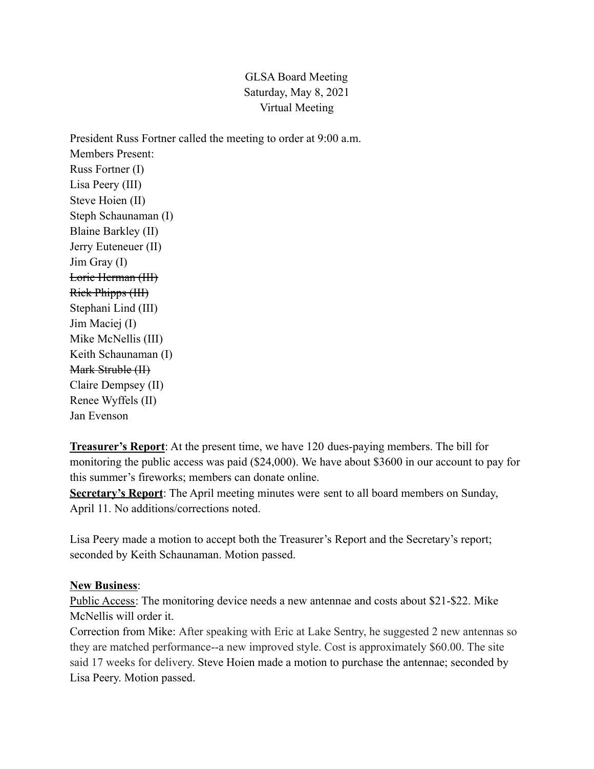## GLSA Board Meeting Saturday, May 8, 2021 Virtual Meeting

President Russ Fortner called the meeting to order at 9:00 a.m. Members Present: Russ Fortner (I) Lisa Peery (III) Steve Hoien (II) Steph Schaunaman (I) Blaine Barkley (II) Jerry Euteneuer (II) Jim Gray (I) Lorie Herman (III) Rick Phipps (III) Stephani Lind (III) Jim Maciej (I) Mike McNellis (III) Keith Schaunaman (I) Mark Struble (II) Claire Dempsey (II) Renee Wyffels (II) Jan Evenson

**Treasurer's Report**: At the present time, we have 120 dues-paying members. The bill for monitoring the public access was paid (\$24,000). We have about \$3600 in our account to pay for this summer's fireworks; members can donate online.

**Secretary's Report**: The April meeting minutes were sent to all board members on Sunday, April 11. No additions/corrections noted.

Lisa Peery made a motion to accept both the Treasurer's Report and the Secretary's report; seconded by Keith Schaunaman. Motion passed.

## **New Business**:

Public Access: The monitoring device needs a new antennae and costs about \$21-\$22. Mike McNellis will order it.

Correction from Mike: After speaking with Eric at Lake Sentry, he suggested 2 new antennas so they are matched performance--a new improved style. Cost is approximately \$60.00. The site said 17 weeks for delivery. Steve Hoien made a motion to purchase the antennae; seconded by Lisa Peery. Motion passed.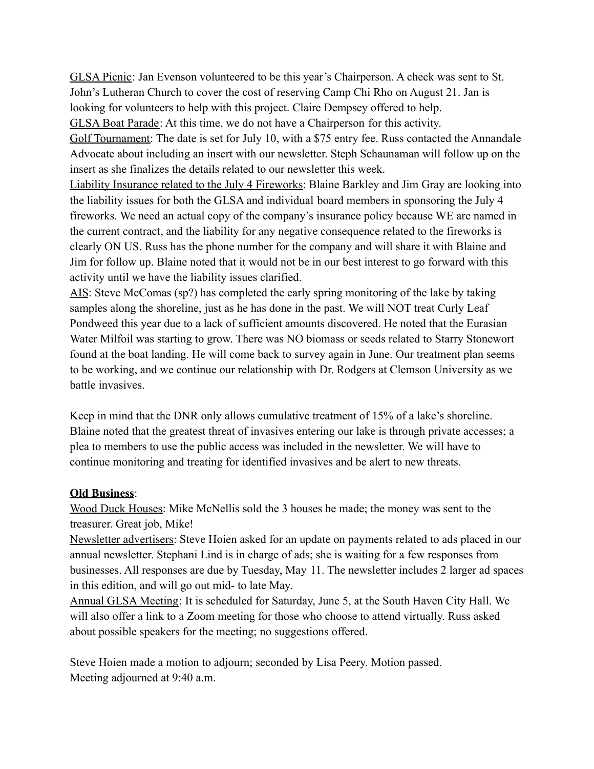GLSA Picnic: Jan Evenson volunteered to be this year's Chairperson. A check was sent to St. John's Lutheran Church to cover the cost of reserving Camp Chi Rho on August 21. Jan is looking for volunteers to help with this project. Claire Dempsey offered to help.

GLSA Boat Parade: At this time, we do not have a Chairperson for this activity.

Golf Tournament: The date is set for July 10, with a \$75 entry fee. Russ contacted the Annandale Advocate about including an insert with our newsletter. Steph Schaunaman will follow up on the insert as she finalizes the details related to our newsletter this week.

Liability Insurance related to the July 4 Fireworks: Blaine Barkley and Jim Gray are looking into the liability issues for both the GLSA and individual board members in sponsoring the July 4 fireworks. We need an actual copy of the company's insurance policy because WE are named in the current contract, and the liability for any negative consequence related to the fireworks is clearly ON US. Russ has the phone number for the company and will share it with Blaine and Jim for follow up. Blaine noted that it would not be in our best interest to go forward with this activity until we have the liability issues clarified.

AIS: Steve McComas (sp?) has completed the early spring monitoring of the lake by taking samples along the shoreline, just as he has done in the past. We will NOT treat Curly Leaf Pondweed this year due to a lack of sufficient amounts discovered. He noted that the Eurasian Water Milfoil was starting to grow. There was NO biomass or seeds related to Starry Stonewort found at the boat landing. He will come back to survey again in June. Our treatment plan seems to be working, and we continue our relationship with Dr. Rodgers at Clemson University as we battle invasives.

Keep in mind that the DNR only allows cumulative treatment of 15% of a lake's shoreline. Blaine noted that the greatest threat of invasives entering our lake is through private accesses; a plea to members to use the public access was included in the newsletter. We will have to continue monitoring and treating for identified invasives and be alert to new threats.

## **Old Business**:

Wood Duck Houses: Mike McNellis sold the 3 houses he made; the money was sent to the treasurer. Great job, Mike!

Newsletter advertisers: Steve Hoien asked for an update on payments related to ads placed in our annual newsletter. Stephani Lind is in charge of ads; she is waiting for a few responses from businesses. All responses are due by Tuesday, May 11. The newsletter includes 2 larger ad spaces in this edition, and will go out mid- to late May.

Annual GLSA Meeting: It is scheduled for Saturday, June 5, at the South Haven City Hall. We will also offer a link to a Zoom meeting for those who choose to attend virtually. Russ asked about possible speakers for the meeting; no suggestions offered.

Steve Hoien made a motion to adjourn; seconded by Lisa Peery. Motion passed. Meeting adjourned at 9:40 a.m.